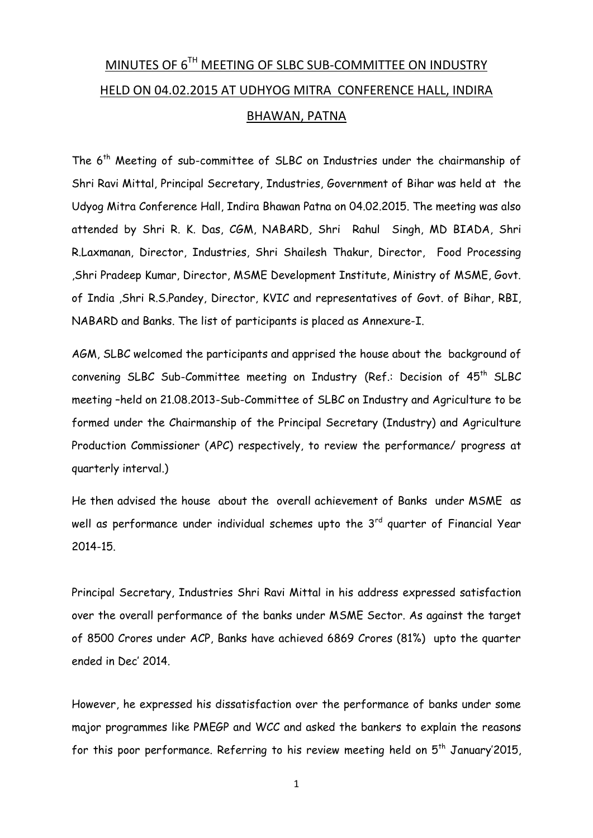# MINUTES OF 6<sup>TH</sup> MEETING OF SLBC SUB-COMMITTEE ON INDUSTRY HELD ON 04.02.2015 AT UDHYOG MITRA CONFERENCE HALL, INDIRA BHAWAN, PATNA

The 6th Meeting of sub-committee of SLBC on Industries under the chairmanship of Shri Ravi Mittal, Principal Secretary, Industries, Government of Bihar was held at the Udyog Mitra Conference Hall, Indira Bhawan Patna on 04.02.2015. The meeting was also attended by Shri R. K. Das, CGM, NABARD, Shri Rahul Singh, MD BIADA, Shri R.Laxmanan, Director, Industries, Shri Shailesh Thakur, Director, Food Processing ,Shri Pradeep Kumar, Director, MSME Development Institute, Ministry of MSME, Govt. of India ,Shri R.S.Pandey, Director, KVIC and representatives of Govt. of Bihar, RBI, NABARD and Banks. The list of participants is placed as Annexure-I.

AGM, SLBC welcomed the participants and apprised the house about the background of convening SLBC Sub-Committee meeting on Industry (Ref.: Decision of 45th SLBC meeting –held on 21.08.2013-Sub-Committee of SLBC on Industry and Agriculture to be formed under the Chairmanship of the Principal Secretary (Industry) and Agriculture Production Commissioner (APC) respectively, to review the performance/ progress at quarterly interval.)

He then advised the house about the overall achievement of Banks under MSME as well as performance under individual schemes upto the  $3<sup>rd</sup>$  quarter of Financial Year 2014-15.

Principal Secretary, Industries Shri Ravi Mittal in his address expressed satisfaction over the overall performance of the banks under MSME Sector. As against the target of 8500 Crores under ACP, Banks have achieved 6869 Crores (81%) upto the quarter ended in Dec' 2014.

However, he expressed his dissatisfaction over the performance of banks under some major programmes like PMEGP and WCC and asked the bankers to explain the reasons for this poor performance. Referring to his review meeting held on  $5<sup>th</sup>$  January'2015,

1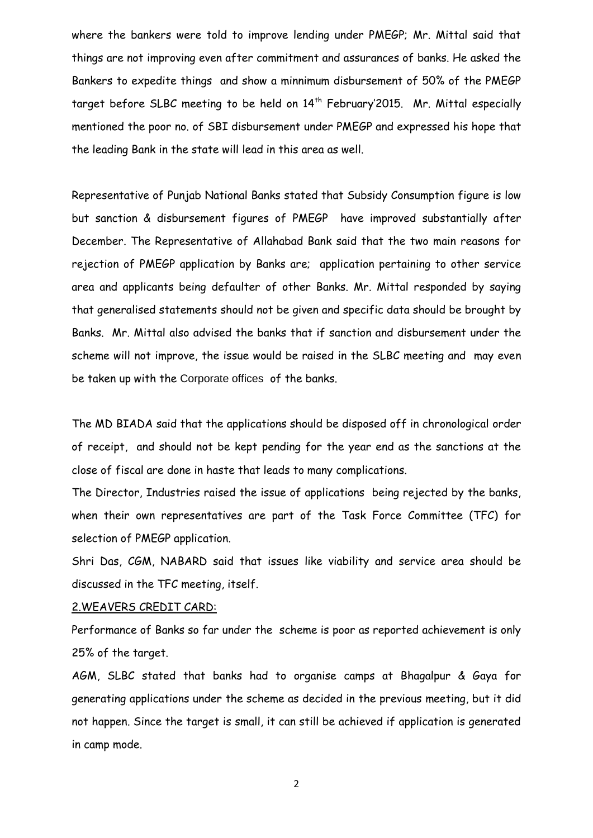where the bankers were told to improve lending under PMEGP; Mr. Mittal said that things are not improving even after commitment and assurances of banks. He asked the Bankers to expedite things and show a minnimum disbursement of 50% of the PMEGP target before SLBC meeting to be held on 14<sup>th</sup> February'2015. Mr. Mittal especially mentioned the poor no. of SBI disbursement under PMEGP and expressed his hope that the leading Bank in the state will lead in this area as well.

Representative of Punjab National Banks stated that Subsidy Consumption figure is low but sanction & disbursement figures of PMEGP have improved substantially after December. The Representative of Allahabad Bank said that the two main reasons for rejection of PMEGP application by Banks are; application pertaining to other service area and applicants being defaulter of other Banks. Mr. Mittal responded by saying that generalised statements should not be given and specific data should be brought by Banks. Mr. Mittal also advised the banks that if sanction and disbursement under the scheme will not improve, the issue would be raised in the SLBC meeting and may even be taken up with the Corporate offices of the banks.

The MD BIADA said that the applications should be disposed off in chronological order of receipt, and should not be kept pending for the year end as the sanctions at the close of fiscal are done in haste that leads to many complications.

The Director, Industries raised the issue of applications being rejected by the banks, when their own representatives are part of the Task Force Committee (TFC) for selection of PMEGP application.

Shri Das, CGM, NABARD said that issues like viability and service area should be discussed in the TFC meeting, itself.

#### 2.WEAVERS CREDIT CARD:

Performance of Banks so far under the scheme is poor as reported achievement is only 25% of the target.

AGM, SLBC stated that banks had to organise camps at Bhagalpur & Gaya for generating applications under the scheme as decided in the previous meeting, but it did not happen. Since the target is small, it can still be achieved if application is generated in camp mode.

2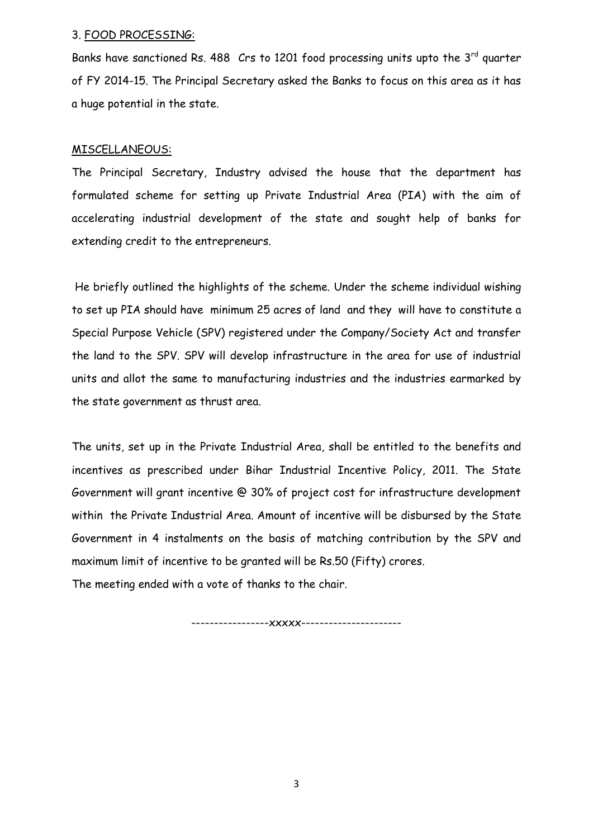#### 3. FOOD PROCESSING:

Banks have sanctioned Rs. 488  $Crs$  to 1201 food processing units upto the  $3<sup>rd</sup>$  quarter of FY 2014-15. The Principal Secretary asked the Banks to focus on this area as it has a huge potential in the state.

### MISCELLANEOUS:

The Principal Secretary, Industry advised the house that the department has formulated scheme for setting up Private Industrial Area (PIA) with the aim of accelerating industrial development of the state and sought help of banks for extending credit to the entrepreneurs.

He briefly outlined the highlights of the scheme. Under the scheme individual wishing to set up PIA should have minimum 25 acres of land and they will have to constitute a Special Purpose Vehicle (SPV) registered under the Company/Society Act and transfer the land to the SPV. SPV will develop infrastructure in the area for use of industrial units and allot the same to manufacturing industries and the industries earmarked by the state government as thrust area.

The units, set up in the Private Industrial Area, shall be entitled to the benefits and incentives as prescribed under Bihar Industrial Incentive Policy, 2011. The State Government will grant incentive @ 30% of project cost for infrastructure development within the Private Industrial Area. Amount of incentive will be disbursed by the State Government in 4 instalments on the basis of matching contribution by the SPV and maximum limit of incentive to be granted will be Rs.50 (Fifty) crores.

The meeting ended with a vote of thanks to the chair.

-----------------xxxxx----------------------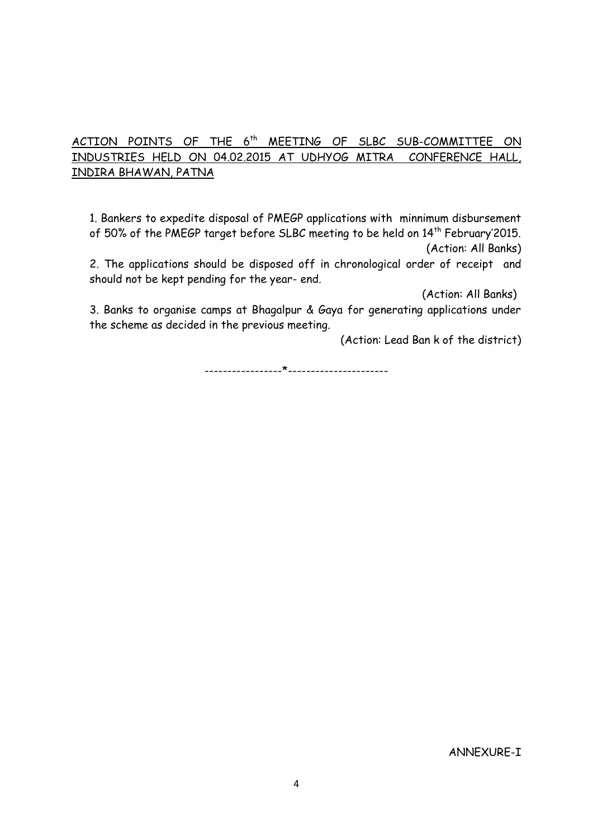## ACTION POINTS OF THE 6<sup>th</sup> MEETING OF SLBC SUB-COMMITTEE ON INDUSTRIES HELD ON 04.02.2015 AT UDHYOG MITRA CONFERENCE HALL, INDIRA BHAWAN, PATNA

1. Bankers to expedite disposal of PMEGP applications with minnimum disbursement of 50% of the PMEGP target before SLBC meeting to be held on 14<sup>th</sup> February'2015. (Action: All Banks)

2. The applications should be disposed off in chronological order of receipt and should not be kept pending for the year- end.

(Action: All Banks)

3. Banks to organise camps at Bhagalpur & Gaya for generating applications under the scheme as decided in the previous meeting.

(Action: Lead Ban k of the district)

-----------------\*----------------------